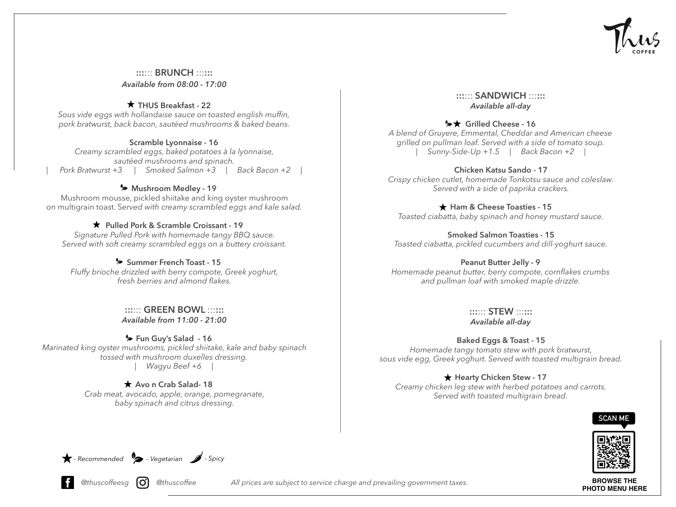

::::::: BRUNCH :::::: *Available from 08:00 - 17:00*

### $\star$  THUS Breakfast - 22

*Sous vide eggs with hollandaise sauce on toasted english muffin, pork bratwurst, back bacon, sautéed mushrooms & baked beans.*

#### Scramble Lyonnaise - 16

*Creamy scrambled eggs, baked potatoes à la lyonnaise, sautéed mushrooms and spinach. | Pork Bratwurst +3 | Smoked Salmon +3 | Back Bacon +2 |* 

# **S** Mushroom Medley - 19

Mushroom mousse, pickled shiitake and king oyster mushroom on multigrain toast. S*erved with creamy scrambled eggs and kale salad.* 

### $\star$  Pulled Pork & Scramble Croissant - 19

*Signature Pulled Pork with homemade tangy BBQ sauce. Served with soft creamy scrambled eggs on a buttery croissant.* 

# Summer French Toast - 15

*Fluffy brioche drizzled with berry compote, Greek yoghurt, fresh berries and almond flakes.*

> :::::: GREEN BOWL :::::: *Available from 11:00 - 21:00*

Fun Guy's Salad - 16 *Marinated king oyster mushrooms, pickled shiitake, kale and baby spinach tossed with mushroom duxelles dressing. | Wagyu Beef +6 |* 

> $\star$  Avo n Crab Salad-18 *Crab meat, avocado, apple, orange, pomegranate, baby spinach and citrus dressing.*

### ::::::: SANDWICH :::::: *Available all-day*

# <del>>★</del> Grilled Cheese - 16

*A blend of Gruyere, Emmental, Cheddar and American cheese grilled on pullman loaf. Served with a side of tomato soup. | Sunny-Side-Up +1.5 | Back Bacon +2 |* 

Chicken Katsu Sando - 17 *Crispy chicken cutlet, homemade Tonkotsu sauce and coleslaw. Served with a side of paprika crackers.*

### $\star$  Ham & Cheese Toasties - 15

*Toasted ciabatta, baby spinach and honey mustard sauce.* 

Smoked Salmon Toasties - 15 *Toasted ciabatta, pickled cucumbers and dill-yoghurt sauce.* 

### Peanut Butter Jelly - 9

*Homemade peanut butter, berry compote, cornflakes crumbs and pullman loaf with smoked maple drizzle.* 

> ::::::: STEW :::::: *Available all-day*

# Baked Eggs & Toast - 15 *Homemade tangy tomato stew with pork bratwurst,*

*sous vide egg, Greek yoghurt. Served with toasted multigrain bread.* 

# $\star$  Hearty Chicken Stew - 17

*Creamy chicken leg stew with herbed potatoes and carrots. Served with toasted multigrain bread.* 





**BROWSE THE** 

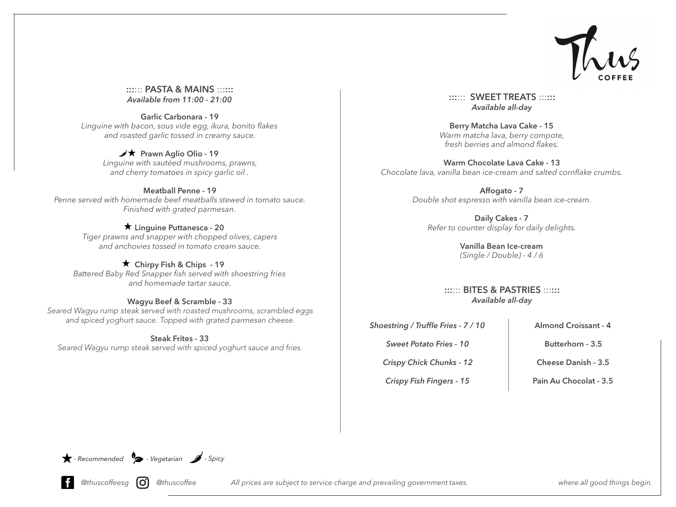

:::::: PASTA & MAINS :::::: *Available from 11:00 - 21:00*

Garlic Carbonara - 19 *Linguine with bacon, sous vide egg, ikura, bonito flakes and roasted garlic tossed in creamy sauce.* 

#### $\overrightarrow{p}$  Prawn Aglio Olio - 19

*Linguine with sautéed mushrooms, prawns, and cherry tomatoes in spicy garlic oil .* 

# Meatball Penne - 19

*Penne served with homemade beef meatballs stewed in tomato sauce. Finished with grated parmesan.* 

#### $\star$  Linguine Puttanesca - 20

*Tiger prawns and snapper with chopped olives, capers and anchovies tossed in tomato cream sauce.* 

#### $\star$  Chirpy Fish & Chips - 19

*Battered Baby Red Snapper fish served with shoestring fries and homemade tartar sauce.* 

#### Wagyu Beef & Scramble - 33

*Seared Wagyu rump steak served with roasted mushrooms, scrambled eggs and spiced yoghurt sauce. Topped with grated parmesan cheese.* 

#### Steak Frites - 33

*Seared Wagyu rump steak served with spiced yoghurt sauce and fries.* 

::::::: SWEET TREATS :::::: *Available all-day*

Berry Matcha Lava Cake - 15 *Warm matcha lava, berry compote, fresh berries and almond flakes.* 

Warm Chocolate Lava Cake - 13 *Chocolate lava, vanilla bean ice-cream and salted cornflake crumbs.*

> Affogato - 7 *Double shot espresso with vanilla bean ice-cream.*

Daily Cakes - 7 *Refer to counter display for daily delights.* 

> Vanilla Bean Ice-cream *(Single / Double) - 4 / 6*

::::::: BITES & PASTRIES :::::: *Available all-day*

*Shoestring / Truffle Fries - 7 / 10*

Almond Croissant - 4

*Sweet Potato Fries - 10*

*Crispy Chick Chunks - 12* 

*Crispy Fish Fingers - 15*

Butterhorn - 3.5

Cheese Danish - 3.5

Pain Au Chocolat - 3.5

*- Recommended - Vegetarian - Spicy*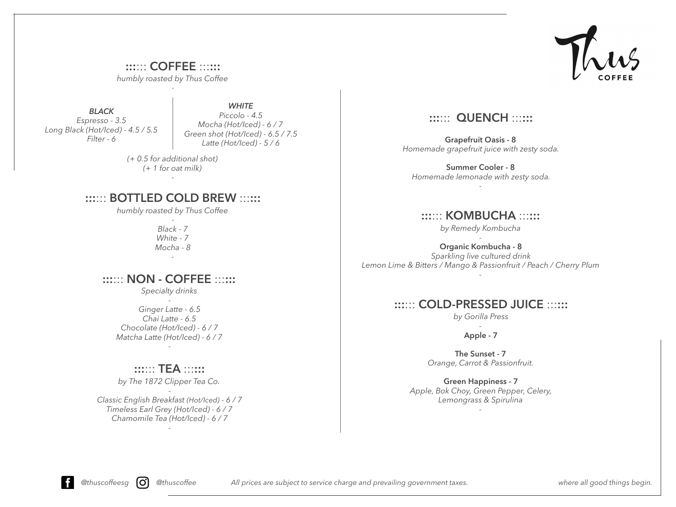

::::::: COFFEE ::::::: *humbly roasted by Thus Coffee* -

*BLACK Espresso - 3.5 Long Black (Hot/Iced) - 4.5 / 5.5 Filter - 6* 

*WHITE Piccolo - 4.5 Mocha (Hot/Iced) - 6 / 7 Green shot (Hot/Iced) - 6.5 / 7.5 Latte (Hot/Iced) - 5 / 6* 

*(+ 0.5 for additional shot) (+ 1 for oat milk)* 

*-*

# ::::::: BOTTLED COLD BREW ::::::

*humbly roasted by Thus Coffee*

- *Black - 7 White - 7 Mocha - 8 -*

# :::::: NON - COFFEE ::::::

*Specialty drinks -* 

*Ginger Latte - 6.5 Chai Latte - 6.5 Chocolate (Hot/Iced) - 6 / 7 Matcha Latte (Hot/Iced) - 6 / 7 -*

# ::::::: TEA ::::::

*by The 1872 Clipper Tea Co.*

- *Classic English Breakfast (Hot/Iced) - 6 / 7 Timeless Earl Grey (Hot/Iced) - 6 / 7 Chamomile Tea (Hot/Iced) - 6 / 7* 

*-*

# **::::::: QUENCH ::::::**

Grapefruit Oasis - 8 *Homemade grapefruit juice with zesty soda.* 

Summer Cooler - 8 *Homemade lemonade with zesty soda.*

*-* 

# ::::::: KOMBUCHA ::::::

*by Remedy Kombucha -*

Organic Kombucha - 8 *Sparkling live cultured drink* 

#### *Lemon Lime & Bitters / Mango & Passionfruit / Peach / Cherry Plum -*

# ::::::: COLD-PRESSED JUICE ::::::

*by Gorilla Press -*

Apple - 7

The Sunset - 7 *Orange, Carrot & Passionfruit.* 

Green Happiness - 7 *Apple, Bok Choy, Green Pepper, Celery, Lemongrass & Spirulina* 

*-*